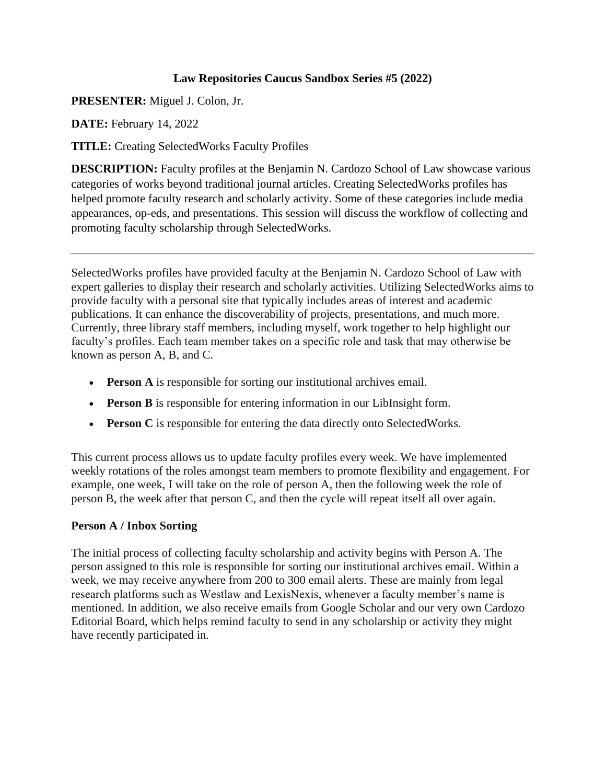# **Law Repositories Caucus Sandbox Series #5 (2022)**

**PRESENTER:** Miguel J. Colon, Jr.

**DATE:** February 14, 2022

**TITLE:** Creating SelectedWorks Faculty Profiles

**DESCRIPTION:** Faculty profiles at the Benjamin N. Cardozo School of Law showcase various categories of works beyond traditional journal articles. Creating SelectedWorks profiles has helped promote faculty research and scholarly activity. Some of these categories include media appearances, op-eds, and presentations. This session will discuss the workflow of collecting and promoting faculty scholarship through SelectedWorks.

SelectedWorks profiles have provided faculty at the Benjamin N. Cardozo School of Law with expert galleries to display their research and scholarly activities. Utilizing SelectedWorks aims to provide faculty with a personal site that typically includes areas of interest and academic publications. It can enhance the discoverability of projects, presentations, and much more. Currently, three library staff members, including myself, work together to help highlight our faculty's profiles. Each team member takes on a specific role and task that may otherwise be known as person A, B, and C.

- **Person A** is responsible for sorting our institutional archives email.
- **Person B** is responsible for entering information in our LibInsight form.
- **Person C** is responsible for entering the data directly onto SelectedWorks.

This current process allows us to update faculty profiles every week. We have implemented weekly rotations of the roles amongst team members to promote flexibility and engagement. For example, one week, I will take on the role of person A, then the following week the role of person B, the week after that person C, and then the cycle will repeat itself all over again.

# **Person A / Inbox Sorting**

The initial process of collecting faculty scholarship and activity begins with Person A. The person assigned to this role is responsible for sorting our institutional archives email. Within a week, we may receive anywhere from 200 to 300 email alerts. These are mainly from legal research platforms such as Westlaw and LexisNexis, whenever a faculty member's name is mentioned. In addition, we also receive emails from Google Scholar and our very own Cardozo Editorial Board, which helps remind faculty to send in any scholarship or activity they might have recently participated in.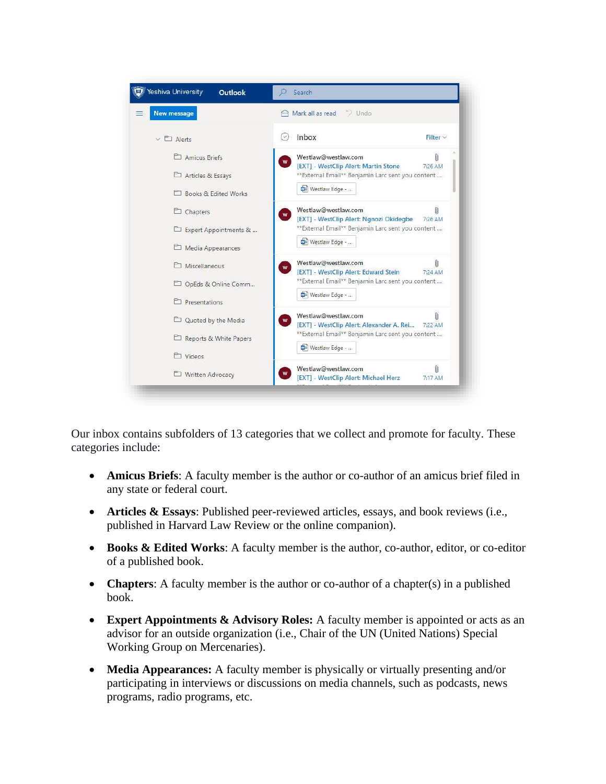

Our inbox contains subfolders of 13 categories that we collect and promote for faculty. These categories include:

- **Amicus Briefs**: A faculty member is the author or co-author of an amicus brief filed in any state or federal court.
- **Articles & Essays**: Published peer-reviewed articles, essays, and book reviews (i.e., published in Harvard Law Review or the online companion).
- **Books & Edited Works**: A faculty member is the author, co-author, editor, or co-editor of a published book.
- **Chapters**: A faculty member is the author or co-author of a chapter(s) in a published book.
- **Expert Appointments & Advisory Roles:** A faculty member is appointed or acts as an advisor for an outside organization (i.e., Chair of the UN (United Nations) Special Working Group on Mercenaries).
- **Media Appearances:** A faculty member is physically or virtually presenting and/or participating in interviews or discussions on media channels, such as podcasts, news programs, radio programs, etc.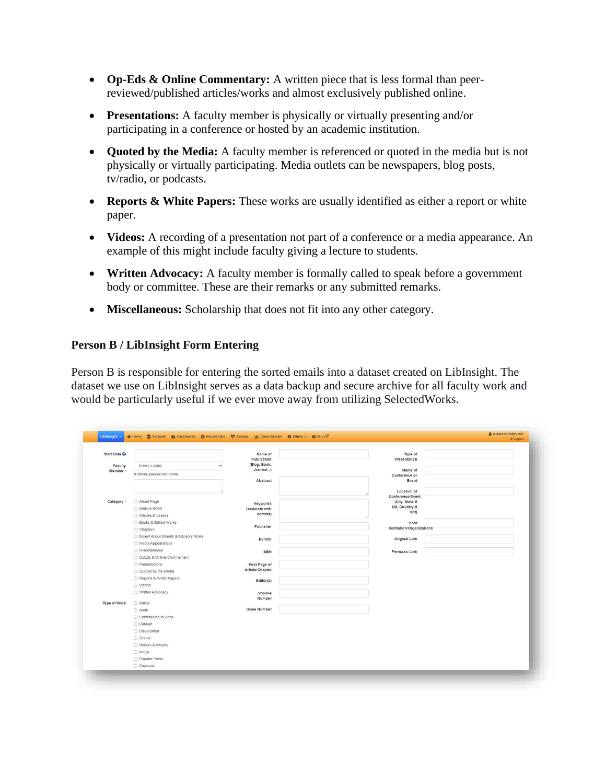- **Op-Eds & Online Commentary:** A written piece that is less formal than peerreviewed/published articles/works and almost exclusively published online.
- **Presentations:** A faculty member is physically or virtually presenting and/or participating in a conference or hosted by an academic institution.
- **Quoted by the Media:** A faculty member is referenced or quoted in the media but is not physically or virtually participating. Media outlets can be newspapers, blog posts, tv/radio, or podcasts.
- **Reports & White Papers:** These works are usually identified as either a report or white paper.
- **Videos:** A recording of a presentation not part of a conference or a media appearance. An example of this might include faculty giving a lecture to students.
- **Written Advocacy:** A faculty member is formally called to speak before a government body or committee. These are their remarks or any submitted remarks.
- **Miscellaneous:** Scholarship that does not fit into any other category.

### **Person B / LibInsight Form Entering**

Person B is responsible for entering the sorted emails into a dataset created on LibInsight. The dataset we use on LibInsight serves as a data backup and secure archive for all faculty work and would be particularly useful if we ever move away from utilizing SelectedWorks.

| Liblnsight +            | 품 Home E Datasets 중 Dashboards C Record Data<br>O Analyze   Int Cross Dataset 총 Admin > C Help C' |                            |                                     | <b>⊕</b> Logout |
|-------------------------|---------------------------------------------------------------------------------------------------|----------------------------|-------------------------------------|-----------------|
| Start Date <sup>O</sup> |                                                                                                   | Name of                    | Type of                             |                 |
|                         |                                                                                                   | Publication                | Presentation                        |                 |
| Faculty                 | Select a value                                                                                    | (Blog, Book,               |                                     |                 |
| Member *                | If Other, please list name                                                                        | Journal)<br>Abstract       | Name of<br>Conference or            |                 |
|                         |                                                                                                   |                            | Event                               |                 |
|                         |                                                                                                   |                            |                                     |                 |
|                         |                                                                                                   |                            | Location of                         |                 |
| Category *              | O About Page                                                                                      |                            | Conference/Event<br>(City, State if |                 |
|                         | ○ Amicus Briefs                                                                                   | Keywords<br>(separate with | US, Country if                      |                 |
|                         | ○ Articles & Essays                                                                               | comma)                     | not)                                |                 |
|                         | ○ Books & Edited Works                                                                            |                            | Host                                |                 |
|                         | ○ Chapters                                                                                        | Publisher                  | Institution/Organizations           |                 |
|                         | ○ Expert Appointments & Advisory Roles                                                            |                            |                                     |                 |
|                         | ○ Media Appearances                                                                               | Edition                    | <b>Original Link</b>                |                 |
|                         | O Miscellaneous                                                                                   |                            |                                     |                 |
|                         | O OpEds & Online Commentary                                                                       | <b>ISBN</b>                | Perma.cc Link                       |                 |
|                         | O Presentations                                                                                   | First Page of              |                                     |                 |
|                         | ○ Quoted by the Media                                                                             | Article/Chapter            |                                     |                 |
|                         | ○ Reports & White Papers                                                                          |                            |                                     |                 |
|                         | O Videos                                                                                          | Editor(s)                  |                                     |                 |
|                         | O Written Advocacy                                                                                |                            |                                     |                 |
|                         |                                                                                                   | Volume<br>Number           |                                     |                 |
| Type of Work            | O Article                                                                                         |                            |                                     |                 |
|                         | $\bigcirc$ Book                                                                                   | <b>Issue Number</b>        |                                     |                 |
|                         | ○ Contribution to Book                                                                            |                            |                                     |                 |
|                         | O Dataset                                                                                         |                            |                                     |                 |
|                         | O Dissertation                                                                                    |                            |                                     |                 |
|                         | ○ Grants                                                                                          |                            |                                     |                 |
|                         | ○ Honors & Awards                                                                                 |                            |                                     |                 |
|                         | O Image                                                                                           |                            |                                     |                 |
|                         | O Popular Press                                                                                   |                            |                                     |                 |
|                         | O Positions                                                                                       |                            |                                     |                 |
|                         |                                                                                                   |                            |                                     |                 |